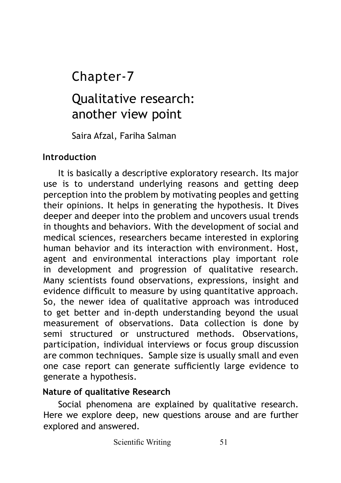# Chapter-7

# Qualitative research: another view point

Saira Afzal, Fariha Salman

#### **Introduction**

It is basically a descriptive exploratory research. Its major use is to understand underlying reasons and getting deep perception into the problem by motivating peoples and getting their opinions. It helps in generating the hypothesis. It Dives deeper and deeper into the problem and uncovers usual trends in thoughts and behaviors. With the development of social and medical sciences, researchers became interested in exploring human behavior and its interaction with environment. Host, agent and environmental interactions play important role in development and progression of qualitative research. Many scientists found observations, expressions, insight and evidence difficult to measure by using quantitative approach. So, the newer idea of qualitative approach was introduced to get better and in-depth understanding beyond the usual measurement of observations. Data collection is done by semi structured or unstructured methods. Observations, participation, individual interviews or focus group discussion are common techniques. Sample size is usually small and even one case report can generate sufficiently large evidence to generate a hypothesis.

#### **Nature of qualitative Research**

Social phenomena are explained by qualitative research. Here we explore deep, new questions arouse and are further explored and answered.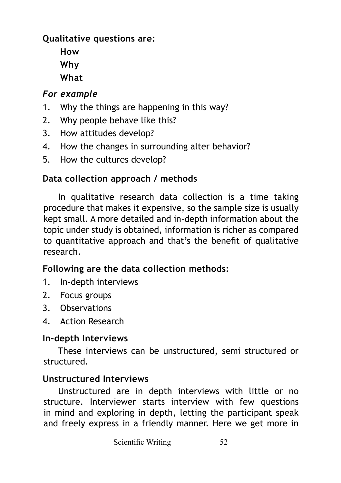## **Qualitative questions are:**

**How Why What**

# *For example*

- 1. Why the things are happening in this way?
- 2. Why people behave like this?
- 3. How attitudes develop?
- 4. How the changes in surrounding alter behavior?
- 5. How the cultures develop?

## **Data collection approach / methods**

In qualitative research data collection is a time taking procedure that makes it expensive, so the sample size is usually kept small. A more detailed and in-depth information about the topic under study is obtained, information is richer as compared to quantitative approach and that's the benefit of qualitative research.

## **Following are the data collection methods:**

- 1. In-depth interviews
- 2. Focus groups
- 3. Observations
- 4. Action Research

## **In-depth Interviews**

These interviews can be unstructured, semi structured or structured.

## **Unstructured Interviews**

Unstructured are in depth interviews with little or no structure. Interviewer starts interview with few questions in mind and exploring in depth, letting the participant speak and freely express in a friendly manner. Here we get more in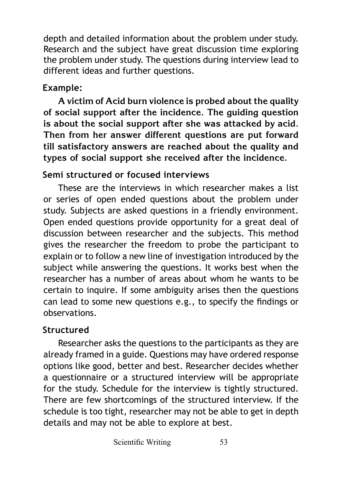depth and detailed information about the problem under study. Research and the subject have great discussion time exploring the problem under study. The questions during interview lead to different ideas and further questions.

# **Example:**

**A victim of Acid burn violence is probed about the quality of social support after the incidence. The guiding question is about the social support after she was attacked by acid. Then from her answer different questions are put forward till satisfactory answers are reached about the quality and types of social support she received after the incidence.**

# **Semi structured or focused interviews**

These are the interviews in which researcher makes a list or series of open ended questions about the problem under study. Subjects are asked questions in a friendly environment. Open ended questions provide opportunity for a great deal of discussion between researcher and the subjects. This method gives the researcher the freedom to probe the participant to explain or to follow a new line of investigation introduced by the subject while answering the questions. It works best when the researcher has a number of areas about whom he wants to be certain to inquire. If some ambiguity arises then the questions can lead to some new questions e.g., to specify the findings or observations.

# **Structured**

Researcher asks the questions to the participants as they are already framed in a guide. Questions may have ordered response options like good, better and best. Researcher decides whether a questionnaire or a structured interview will be appropriate for the study. Schedule for the interview is tightly structured. There are few shortcomings of the structured interview. If the schedule is too tight, researcher may not be able to get in depth details and may not be able to explore at best.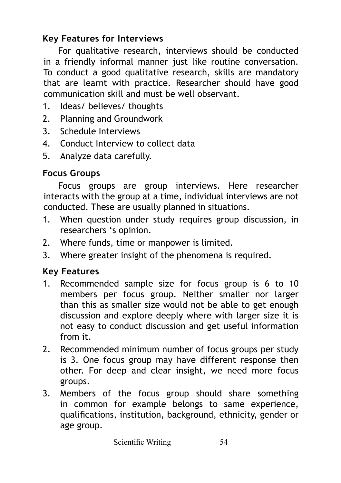## **Key Features for Interviews**

For qualitative research, interviews should be conducted in a friendly informal manner just like routine conversation. To conduct a good qualitative research, skills are mandatory that are learnt with practice. Researcher should have good communication skill and must be well observant.

- 1. Ideas/ believes/ thoughts
- 2. Planning and Groundwork
- 3. Schedule Interviews
- 4. Conduct Interview to collect data
- 5. Analyze data carefully.

#### **Focus Groups**

Focus groups are group interviews. Here researcher interacts with the group at a time, individual interviews are not conducted. These are usually planned in situations.

- 1. When question under study requires group discussion, in researchers 's opinion.
- 2. Where funds, time or manpower is limited.
- 3. Where greater insight of the phenomena is required.

#### **Key Features**

- 1. Recommended sample size for focus group is 6 to 10 members per focus group. Neither smaller nor larger than this as smaller size would not be able to get enough discussion and explore deeply where with larger size it is not easy to conduct discussion and get useful information from it.
- 2. Recommended minimum number of focus groups per study is 3. One focus group may have different response then other. For deep and clear insight, we need more focus groups.
- 3. Members of the focus group should share something in common for example belongs to same experience, qualifications, institution, background, ethnicity, gender or age group.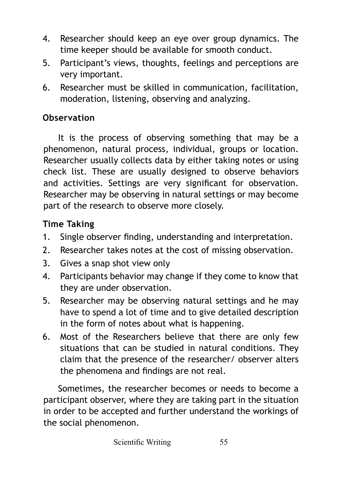- 4. Researcher should keep an eye over group dynamics. The time keeper should be available for smooth conduct.
- 5. Participant's views, thoughts, feelings and perceptions are very important.
- 6. Researcher must be skilled in communication, facilitation, moderation, listening, observing and analyzing.

## **Observation**

It is the process of observing something that may be a phenomenon, natural process, individual, groups or location. Researcher usually collects data by either taking notes or using check list. These are usually designed to observe behaviors and activities. Settings are very significant for observation. Researcher may be observing in natural settings or may become part of the research to observe more closely.

## **Time Taking**

- 1. Single observer finding, understanding and interpretation.
- 2. Researcher takes notes at the cost of missing observation.
- 3. Gives a snap shot view only
- 4. Participants behavior may change if they come to know that they are under observation.
- 5. Researcher may be observing natural settings and he may have to spend a lot of time and to give detailed description in the form of notes about what is happening.
- 6. Most of the Researchers believe that there are only few situations that can be studied in natural conditions. They claim that the presence of the researcher/ observer alters the phenomena and findings are not real.

Sometimes, the researcher becomes or needs to become a participant observer, where they are taking part in the situation in order to be accepted and further understand the workings of the social phenomenon.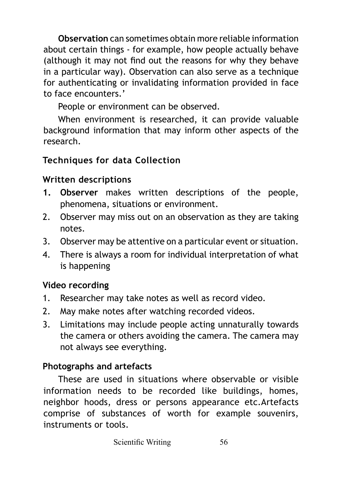**Observation** can sometimes obtain more reliable information about certain things - for example, how people actually behave (although it may not find out the reasons for why they behave in a particular way). Observation can also serve as a technique for authenticating or invalidating information provided in face to face encounters.'

People or environment can be observed.

When environment is researched, it can provide valuable background information that may inform other aspects of the research.

## **Techniques for data Collection**

## **Written descriptions**

- **1. Observer** makes written descriptions of the people, phenomena, situations or environment.
- 2. Observer may miss out on an observation as they are taking notes.
- 3. Observer may be attentive on a particular event or situation.
- 4. There is always a room for individual interpretation of what is happening

## **Video recording**

- 1. Researcher may take notes as well as record video.
- 2. May make notes after watching recorded videos.
- 3. Limitations may include people acting unnaturally towards the camera or others avoiding the camera. The camera may not always see everything.

# **Photographs and artefacts**

These are used in situations where observable or visible information needs to be recorded like buildings, homes, neighbor hoods, dress or persons appearance etc.Artefacts comprise of substances of worth for example souvenirs, instruments or tools.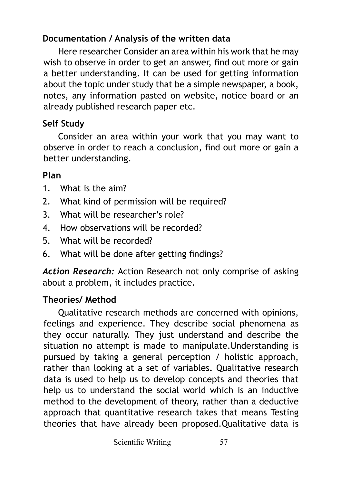## **Documentation / Analysis of the written data**

Here researcher Consider an area within his work that he may wish to observe in order to get an answer, find out more or gain a better understanding. It can be used for getting information about the topic under study that be a simple newspaper, a book, notes, any information pasted on website, notice board or an already published research paper etc.

# **Self Study**

Consider an area within your work that you may want to observe in order to reach a conclusion, find out more or gain a better understanding.

# **Plan**

- 1. What is the aim?
- 2. What kind of permission will be required?
- 3. What will be researcher's role?
- 4. How observations will be recorded?
- 5. What will be recorded?
- 6. What will be done after getting findings?

*Action Research:* Action Research not only comprise of asking about a problem, it includes practice.

# **Theories/ Method**

Qualitative research methods are concerned with opinions, feelings and experience. They describe social phenomena as they occur naturally. They just understand and describe the situation no attempt is made to manipulate.Understanding is pursued by taking a general perception / holistic approach, rather than looking at a set of variables**.** Qualitative research data is used to help us to develop concepts and theories that help us to understand the social world which is an inductive method to the development of theory, rather than a deductive approach that quantitative research takes that means Testing theories that have already been proposed.Qualitative data is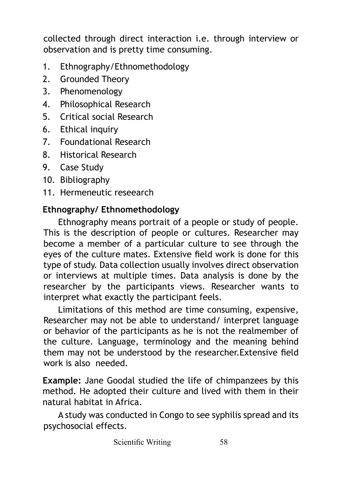collected through direct interaction i.e. through interview or observation and is pretty time consuming.

- 1. Ethnography/Ethnomethodology
- 2. Grounded Theory
- 3. Phenomenology
- 4. Philosophical Research
- 5. Critical social Research
- 6. Ethical inquiry
- 7. Foundational Research
- 8. Historical Research
- 9. Case Study
- 10. Bibliography
- 11. Hermeneutic reseearch

#### **Ethnography/ Ethnomethodology**

Ethnography means portrait of a people or study of people. This is the description of people or cultures. Researcher may become a member of a particular culture to see through the eyes of the culture mates. Extensive field work is done for this type of study. Data collection usually involves direct observation or interviews at multiple times. Data analysis is done by the researcher by the participants views. Researcher wants to interpret what exactly the participant feels.

Limitations of this method are time consuming, expensive, Researcher may not be able to understand/ interpret language or behavior of the participants as he is not the realmember of the culture. Language, terminology and the meaning behind them may not be understood by the researcher.Extensive field work is also needed.

**Example:** Jane Goodal studied the life of chimpanzees by this method. He adopted their culture and lived with them in their natural habitat in Africa.

A study was conducted in Congo to see syphilis spread and its psychosocial effects.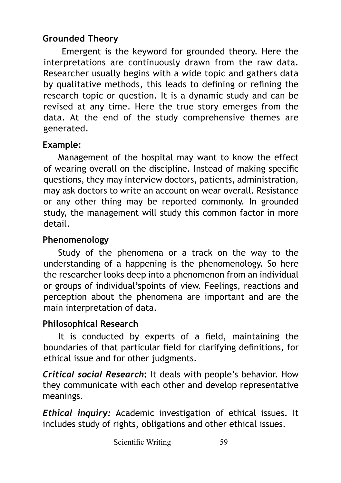# **Grounded Theory**

 Emergent is the keyword for grounded theory. Here the interpretations are continuously drawn from the raw data. Researcher usually begins with a wide topic and gathers data by qualitative methods, this leads to defining or refining the research topic or question. It is a dynamic study and can be revised at any time. Here the true story emerges from the data. At the end of the study comprehensive themes are generated.

## **Example:**

Management of the hospital may want to know the effect of wearing overall on the discipline. Instead of making specific questions, they may interview doctors, patients, administration, may ask doctors to write an account on wear overall. Resistance or any other thing may be reported commonly. In grounded study, the management will study this common factor in more detail.

# **Phenomenology**

Study of the phenomena or a track on the way to the understanding of a happening is the phenomenology. So here the researcher looks deep into a phenomenon from an individual or groups of individual'spoints of view. Feelings, reactions and perception about the phenomena are important and are the main interpretation of data.

# **Philosophical Research**

It is conducted by experts of a field, maintaining the boundaries of that particular field for clarifying definitions, for ethical issue and for other judgments.

*Critical social Research***:** It deals with people's behavior. How they communicate with each other and develop representative meanings.

*Ethical inquiry:* Academic investigation of ethical issues. It includes study of rights, obligations and other ethical issues.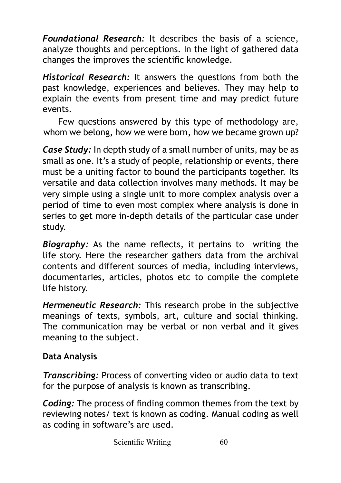*Foundational Research:* It describes the basis of a science, analyze thoughts and perceptions. In the light of gathered data changes the improves the scientific knowledge.

*Historical Research:* It answers the questions from both the past knowledge, experiences and believes. They may help to explain the events from present time and may predict future events.

Few questions answered by this type of methodology are, whom we belong, how we were born, how we became grown up?

*Case Study:* In depth study of a small number of units, may be as small as one. It's a study of people, relationship or events, there must be a uniting factor to bound the participants together. Its versatile and data collection involves many methods. It may be very simple using a single unit to more complex analysis over a period of time to even most complex where analysis is done in series to get more in-depth details of the particular case under study.

*Biography:* As the name reflects, it pertains to writing the life story. Here the researcher gathers data from the archival contents and different sources of media, including interviews, documentaries, articles, photos etc to compile the complete life history.

*Hermeneutic Research:* This research probe in the subjective meanings of texts, symbols, art, culture and social thinking. The communication may be verbal or non verbal and it gives meaning to the subject.

#### **Data Analysis**

*Transcribing:* Process of converting video or audio data to text for the purpose of analysis is known as transcribing.

*Coding:* The process of finding common themes from the text by reviewing notes/ text is known as coding. Manual coding as well as coding in software's are used.